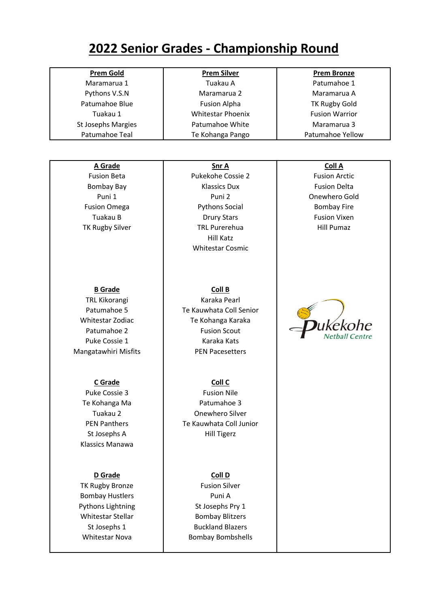# **2022 Senior Grades - Championship Round**

| <b>Prem Gold</b><br><b>Prem Silver</b><br><b>Prem Bronze</b><br>Tuakau A<br>Patumahoe 1<br>Maramarua 1<br>Maramarua 2<br>Pythons V.S.N<br>Maramarua A<br>Patumahoe Blue<br><b>Fusion Alpha</b><br><b>TK Rugby Gold</b><br>Tuakau 1<br><b>Whitestar Phoenix</b><br><b>Fusion Warrior</b><br>St Josephs Margies<br>Patumahoe White<br>Maramarua 3<br>Patumahoe Teal<br>Patumahoe Yellow<br>Te Kohanga Pango<br>A Grade<br>Coll A<br>Snr A<br><b>Fusion Beta</b><br>Pukekohe Cossie 2<br><b>Fusion Arctic</b><br><b>Klassics Dux</b><br><b>Fusion Delta</b><br><b>Bombay Bay</b><br>Puni 1<br>Puni <sub>2</sub><br>Onewhero Gold<br><b>Fusion Omega</b><br><b>Pythons Social</b><br><b>Bombay Fire</b><br>Tuakau B<br><b>Drury Stars</b><br><b>Fusion Vixen</b><br><b>Hill Pumaz</b><br>TK Rugby Silver<br><b>TRL Purerehua</b><br><b>Hill Katz</b><br><b>Whitestar Cosmic</b><br><b>B</b> Grade<br>Coll B<br>Karaka Pearl<br>TRL Kikorangi<br>Patumahoe 5<br>Te Kauwhata Coll Senior<br>Whitestar Zodiac<br>Te Kohanga Karaka<br>ukekohe<br>Patumahoe 2<br><b>Fusion Scout</b><br><b>Vetball Centre</b><br>Puke Cossie 1<br>Karaka Kats<br>Mangatawhiri Misfits<br><b>PEN Pacesetters</b><br>Coll C<br><b>C</b> Grade<br>Puke Cossie 3<br><b>Fusion Nile</b><br>Patumahoe 3<br>Te Kohanga Ma<br>Tuakau 2<br>Onewhero Silver<br>Te Kauwhata Coll Junior<br><b>PEN Panthers</b><br>St Josephs A<br><b>Hill Tigerz</b><br>Klassics Manawa<br><b>D</b> Grade<br>Coll D<br><b>Fusion Silver</b><br>TK Rugby Bronze<br><b>Bombay Hustlers</b><br>Puni A<br>Pythons Lightning<br>St Josephs Pry 1<br>Whitestar Stellar<br><b>Bombay Blitzers</b><br><b>Buckland Blazers</b><br>St Josephs 1<br><b>Whitestar Nova</b><br><b>Bombay Bombshells</b> |  |  |
|-----------------------------------------------------------------------------------------------------------------------------------------------------------------------------------------------------------------------------------------------------------------------------------------------------------------------------------------------------------------------------------------------------------------------------------------------------------------------------------------------------------------------------------------------------------------------------------------------------------------------------------------------------------------------------------------------------------------------------------------------------------------------------------------------------------------------------------------------------------------------------------------------------------------------------------------------------------------------------------------------------------------------------------------------------------------------------------------------------------------------------------------------------------------------------------------------------------------------------------------------------------------------------------------------------------------------------------------------------------------------------------------------------------------------------------------------------------------------------------------------------------------------------------------------------------------------------------------------------------------------------------------------------------------------------------------------------------------------------------------|--|--|
|                                                                                                                                                                                                                                                                                                                                                                                                                                                                                                                                                                                                                                                                                                                                                                                                                                                                                                                                                                                                                                                                                                                                                                                                                                                                                                                                                                                                                                                                                                                                                                                                                                                                                                                                         |  |  |
|                                                                                                                                                                                                                                                                                                                                                                                                                                                                                                                                                                                                                                                                                                                                                                                                                                                                                                                                                                                                                                                                                                                                                                                                                                                                                                                                                                                                                                                                                                                                                                                                                                                                                                                                         |  |  |
|                                                                                                                                                                                                                                                                                                                                                                                                                                                                                                                                                                                                                                                                                                                                                                                                                                                                                                                                                                                                                                                                                                                                                                                                                                                                                                                                                                                                                                                                                                                                                                                                                                                                                                                                         |  |  |
|                                                                                                                                                                                                                                                                                                                                                                                                                                                                                                                                                                                                                                                                                                                                                                                                                                                                                                                                                                                                                                                                                                                                                                                                                                                                                                                                                                                                                                                                                                                                                                                                                                                                                                                                         |  |  |
|                                                                                                                                                                                                                                                                                                                                                                                                                                                                                                                                                                                                                                                                                                                                                                                                                                                                                                                                                                                                                                                                                                                                                                                                                                                                                                                                                                                                                                                                                                                                                                                                                                                                                                                                         |  |  |
|                                                                                                                                                                                                                                                                                                                                                                                                                                                                                                                                                                                                                                                                                                                                                                                                                                                                                                                                                                                                                                                                                                                                                                                                                                                                                                                                                                                                                                                                                                                                                                                                                                                                                                                                         |  |  |
|                                                                                                                                                                                                                                                                                                                                                                                                                                                                                                                                                                                                                                                                                                                                                                                                                                                                                                                                                                                                                                                                                                                                                                                                                                                                                                                                                                                                                                                                                                                                                                                                                                                                                                                                         |  |  |
|                                                                                                                                                                                                                                                                                                                                                                                                                                                                                                                                                                                                                                                                                                                                                                                                                                                                                                                                                                                                                                                                                                                                                                                                                                                                                                                                                                                                                                                                                                                                                                                                                                                                                                                                         |  |  |
|                                                                                                                                                                                                                                                                                                                                                                                                                                                                                                                                                                                                                                                                                                                                                                                                                                                                                                                                                                                                                                                                                                                                                                                                                                                                                                                                                                                                                                                                                                                                                                                                                                                                                                                                         |  |  |
|                                                                                                                                                                                                                                                                                                                                                                                                                                                                                                                                                                                                                                                                                                                                                                                                                                                                                                                                                                                                                                                                                                                                                                                                                                                                                                                                                                                                                                                                                                                                                                                                                                                                                                                                         |  |  |
|                                                                                                                                                                                                                                                                                                                                                                                                                                                                                                                                                                                                                                                                                                                                                                                                                                                                                                                                                                                                                                                                                                                                                                                                                                                                                                                                                                                                                                                                                                                                                                                                                                                                                                                                         |  |  |
|                                                                                                                                                                                                                                                                                                                                                                                                                                                                                                                                                                                                                                                                                                                                                                                                                                                                                                                                                                                                                                                                                                                                                                                                                                                                                                                                                                                                                                                                                                                                                                                                                                                                                                                                         |  |  |
|                                                                                                                                                                                                                                                                                                                                                                                                                                                                                                                                                                                                                                                                                                                                                                                                                                                                                                                                                                                                                                                                                                                                                                                                                                                                                                                                                                                                                                                                                                                                                                                                                                                                                                                                         |  |  |
|                                                                                                                                                                                                                                                                                                                                                                                                                                                                                                                                                                                                                                                                                                                                                                                                                                                                                                                                                                                                                                                                                                                                                                                                                                                                                                                                                                                                                                                                                                                                                                                                                                                                                                                                         |  |  |
|                                                                                                                                                                                                                                                                                                                                                                                                                                                                                                                                                                                                                                                                                                                                                                                                                                                                                                                                                                                                                                                                                                                                                                                                                                                                                                                                                                                                                                                                                                                                                                                                                                                                                                                                         |  |  |
|                                                                                                                                                                                                                                                                                                                                                                                                                                                                                                                                                                                                                                                                                                                                                                                                                                                                                                                                                                                                                                                                                                                                                                                                                                                                                                                                                                                                                                                                                                                                                                                                                                                                                                                                         |  |  |
|                                                                                                                                                                                                                                                                                                                                                                                                                                                                                                                                                                                                                                                                                                                                                                                                                                                                                                                                                                                                                                                                                                                                                                                                                                                                                                                                                                                                                                                                                                                                                                                                                                                                                                                                         |  |  |
|                                                                                                                                                                                                                                                                                                                                                                                                                                                                                                                                                                                                                                                                                                                                                                                                                                                                                                                                                                                                                                                                                                                                                                                                                                                                                                                                                                                                                                                                                                                                                                                                                                                                                                                                         |  |  |
|                                                                                                                                                                                                                                                                                                                                                                                                                                                                                                                                                                                                                                                                                                                                                                                                                                                                                                                                                                                                                                                                                                                                                                                                                                                                                                                                                                                                                                                                                                                                                                                                                                                                                                                                         |  |  |
|                                                                                                                                                                                                                                                                                                                                                                                                                                                                                                                                                                                                                                                                                                                                                                                                                                                                                                                                                                                                                                                                                                                                                                                                                                                                                                                                                                                                                                                                                                                                                                                                                                                                                                                                         |  |  |
|                                                                                                                                                                                                                                                                                                                                                                                                                                                                                                                                                                                                                                                                                                                                                                                                                                                                                                                                                                                                                                                                                                                                                                                                                                                                                                                                                                                                                                                                                                                                                                                                                                                                                                                                         |  |  |
|                                                                                                                                                                                                                                                                                                                                                                                                                                                                                                                                                                                                                                                                                                                                                                                                                                                                                                                                                                                                                                                                                                                                                                                                                                                                                                                                                                                                                                                                                                                                                                                                                                                                                                                                         |  |  |
|                                                                                                                                                                                                                                                                                                                                                                                                                                                                                                                                                                                                                                                                                                                                                                                                                                                                                                                                                                                                                                                                                                                                                                                                                                                                                                                                                                                                                                                                                                                                                                                                                                                                                                                                         |  |  |
|                                                                                                                                                                                                                                                                                                                                                                                                                                                                                                                                                                                                                                                                                                                                                                                                                                                                                                                                                                                                                                                                                                                                                                                                                                                                                                                                                                                                                                                                                                                                                                                                                                                                                                                                         |  |  |
|                                                                                                                                                                                                                                                                                                                                                                                                                                                                                                                                                                                                                                                                                                                                                                                                                                                                                                                                                                                                                                                                                                                                                                                                                                                                                                                                                                                                                                                                                                                                                                                                                                                                                                                                         |  |  |
|                                                                                                                                                                                                                                                                                                                                                                                                                                                                                                                                                                                                                                                                                                                                                                                                                                                                                                                                                                                                                                                                                                                                                                                                                                                                                                                                                                                                                                                                                                                                                                                                                                                                                                                                         |  |  |
|                                                                                                                                                                                                                                                                                                                                                                                                                                                                                                                                                                                                                                                                                                                                                                                                                                                                                                                                                                                                                                                                                                                                                                                                                                                                                                                                                                                                                                                                                                                                                                                                                                                                                                                                         |  |  |
|                                                                                                                                                                                                                                                                                                                                                                                                                                                                                                                                                                                                                                                                                                                                                                                                                                                                                                                                                                                                                                                                                                                                                                                                                                                                                                                                                                                                                                                                                                                                                                                                                                                                                                                                         |  |  |
|                                                                                                                                                                                                                                                                                                                                                                                                                                                                                                                                                                                                                                                                                                                                                                                                                                                                                                                                                                                                                                                                                                                                                                                                                                                                                                                                                                                                                                                                                                                                                                                                                                                                                                                                         |  |  |
|                                                                                                                                                                                                                                                                                                                                                                                                                                                                                                                                                                                                                                                                                                                                                                                                                                                                                                                                                                                                                                                                                                                                                                                                                                                                                                                                                                                                                                                                                                                                                                                                                                                                                                                                         |  |  |
|                                                                                                                                                                                                                                                                                                                                                                                                                                                                                                                                                                                                                                                                                                                                                                                                                                                                                                                                                                                                                                                                                                                                                                                                                                                                                                                                                                                                                                                                                                                                                                                                                                                                                                                                         |  |  |
|                                                                                                                                                                                                                                                                                                                                                                                                                                                                                                                                                                                                                                                                                                                                                                                                                                                                                                                                                                                                                                                                                                                                                                                                                                                                                                                                                                                                                                                                                                                                                                                                                                                                                                                                         |  |  |
|                                                                                                                                                                                                                                                                                                                                                                                                                                                                                                                                                                                                                                                                                                                                                                                                                                                                                                                                                                                                                                                                                                                                                                                                                                                                                                                                                                                                                                                                                                                                                                                                                                                                                                                                         |  |  |
|                                                                                                                                                                                                                                                                                                                                                                                                                                                                                                                                                                                                                                                                                                                                                                                                                                                                                                                                                                                                                                                                                                                                                                                                                                                                                                                                                                                                                                                                                                                                                                                                                                                                                                                                         |  |  |
|                                                                                                                                                                                                                                                                                                                                                                                                                                                                                                                                                                                                                                                                                                                                                                                                                                                                                                                                                                                                                                                                                                                                                                                                                                                                                                                                                                                                                                                                                                                                                                                                                                                                                                                                         |  |  |
|                                                                                                                                                                                                                                                                                                                                                                                                                                                                                                                                                                                                                                                                                                                                                                                                                                                                                                                                                                                                                                                                                                                                                                                                                                                                                                                                                                                                                                                                                                                                                                                                                                                                                                                                         |  |  |
|                                                                                                                                                                                                                                                                                                                                                                                                                                                                                                                                                                                                                                                                                                                                                                                                                                                                                                                                                                                                                                                                                                                                                                                                                                                                                                                                                                                                                                                                                                                                                                                                                                                                                                                                         |  |  |
|                                                                                                                                                                                                                                                                                                                                                                                                                                                                                                                                                                                                                                                                                                                                                                                                                                                                                                                                                                                                                                                                                                                                                                                                                                                                                                                                                                                                                                                                                                                                                                                                                                                                                                                                         |  |  |
|                                                                                                                                                                                                                                                                                                                                                                                                                                                                                                                                                                                                                                                                                                                                                                                                                                                                                                                                                                                                                                                                                                                                                                                                                                                                                                                                                                                                                                                                                                                                                                                                                                                                                                                                         |  |  |
|                                                                                                                                                                                                                                                                                                                                                                                                                                                                                                                                                                                                                                                                                                                                                                                                                                                                                                                                                                                                                                                                                                                                                                                                                                                                                                                                                                                                                                                                                                                                                                                                                                                                                                                                         |  |  |
|                                                                                                                                                                                                                                                                                                                                                                                                                                                                                                                                                                                                                                                                                                                                                                                                                                                                                                                                                                                                                                                                                                                                                                                                                                                                                                                                                                                                                                                                                                                                                                                                                                                                                                                                         |  |  |
|                                                                                                                                                                                                                                                                                                                                                                                                                                                                                                                                                                                                                                                                                                                                                                                                                                                                                                                                                                                                                                                                                                                                                                                                                                                                                                                                                                                                                                                                                                                                                                                                                                                                                                                                         |  |  |
|                                                                                                                                                                                                                                                                                                                                                                                                                                                                                                                                                                                                                                                                                                                                                                                                                                                                                                                                                                                                                                                                                                                                                                                                                                                                                                                                                                                                                                                                                                                                                                                                                                                                                                                                         |  |  |
|                                                                                                                                                                                                                                                                                                                                                                                                                                                                                                                                                                                                                                                                                                                                                                                                                                                                                                                                                                                                                                                                                                                                                                                                                                                                                                                                                                                                                                                                                                                                                                                                                                                                                                                                         |  |  |
|                                                                                                                                                                                                                                                                                                                                                                                                                                                                                                                                                                                                                                                                                                                                                                                                                                                                                                                                                                                                                                                                                                                                                                                                                                                                                                                                                                                                                                                                                                                                                                                                                                                                                                                                         |  |  |
|                                                                                                                                                                                                                                                                                                                                                                                                                                                                                                                                                                                                                                                                                                                                                                                                                                                                                                                                                                                                                                                                                                                                                                                                                                                                                                                                                                                                                                                                                                                                                                                                                                                                                                                                         |  |  |
|                                                                                                                                                                                                                                                                                                                                                                                                                                                                                                                                                                                                                                                                                                                                                                                                                                                                                                                                                                                                                                                                                                                                                                                                                                                                                                                                                                                                                                                                                                                                                                                                                                                                                                                                         |  |  |
|                                                                                                                                                                                                                                                                                                                                                                                                                                                                                                                                                                                                                                                                                                                                                                                                                                                                                                                                                                                                                                                                                                                                                                                                                                                                                                                                                                                                                                                                                                                                                                                                                                                                                                                                         |  |  |
|                                                                                                                                                                                                                                                                                                                                                                                                                                                                                                                                                                                                                                                                                                                                                                                                                                                                                                                                                                                                                                                                                                                                                                                                                                                                                                                                                                                                                                                                                                                                                                                                                                                                                                                                         |  |  |